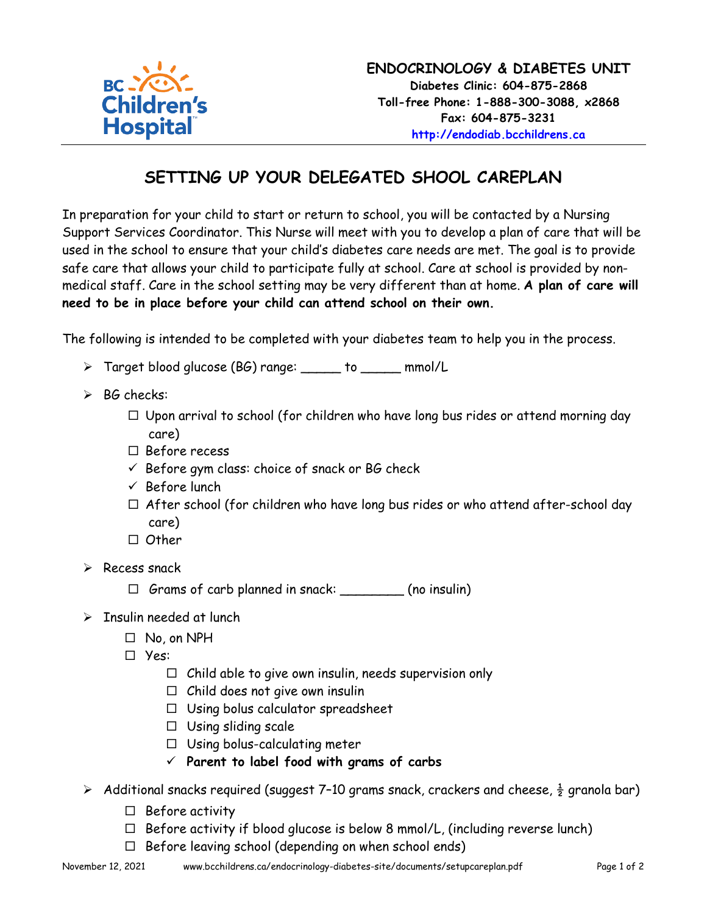

## **SETTING UP YOUR DELEGATED SHOOL CAREPLAN**

In preparation for your child to start or return to school, you will be contacted by a Nursing Support Services Coordinator. This Nurse will meet with you to develop a plan of care that will be used in the school to ensure that your child's diabetes care needs are met. The goal is to provide safe care that allows your child to participate fully at school. Care at school is provided by nonmedical staff. Care in the school setting may be very different than at home. **A plan of care will need to be in place before your child can attend school on their own.**

The following is intended to be completed with your diabetes team to help you in the process.

- > Target blood glucose (BG) range: \_\_\_\_\_ to \_\_\_\_\_ mmol/L
- $\triangleright$  BG checks:
	- $\Box$  Upon arrival to school (for children who have long bus rides or attend morning day care)
	- $\square$  Before recess
	- $\checkmark$  Before gym class: choice of snack or BG check
	- $\checkmark$  Before lunch
	- $\Box$  After school (for children who have long bus rides or who attend after-school day care)
	- $\Box$  Other
- $\triangleright$  Recess snack
	- $\Box$  Grams of carb planned in snack:  $\Box$  (no insulin)
- $\triangleright$  Insulin needed at lunch
	- No, on NPH
	- Yes:
		- $\Box$  Child able to give own insulin, needs supervision only
		- $\Box$  Child does not give own insulin
		- $\Box$  Using bolus calculator spreadsheet
		- $\Box$  Using sliding scale
		- $\Box$  Using bolus-calculating meter
		- **Parent to label food with grams of carbs**
- $\triangleright$  Additional snacks required (suggest 7-10 grams snack, crackers and cheese,  $\frac{1}{2}$  granola bar)
	- $\Box$  Before activity
	- $\Box$  Before activity if blood glucose is below 8 mmol/L, (including reverse lunch)
	- $\Box$  Before leaving school (depending on when school ends)